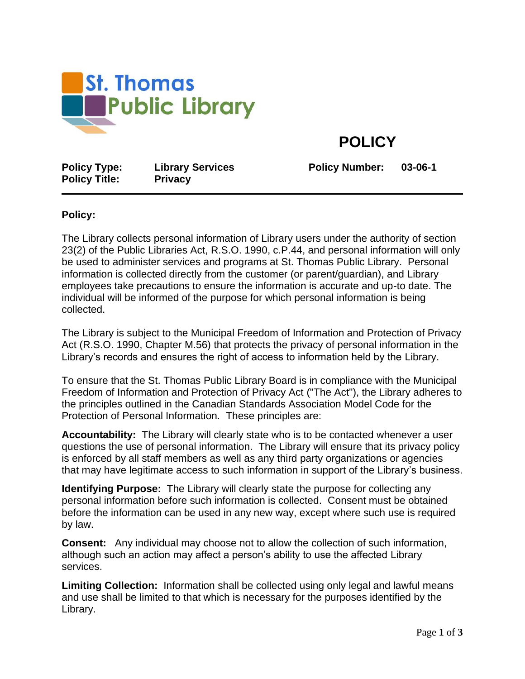

**POLICY**

**Policy Type: Library Services Policy Number: 03-06-1 Policy Title: Privacy**

## **Policy:**

The Library collects personal information of Library users under the authority of section 23(2) of the Public Libraries Act, R.S.O. 1990, c.P.44, and personal information will only be used to administer services and programs at St. Thomas Public Library. Personal information is collected directly from the customer (or parent/guardian), and Library employees take precautions to ensure the information is accurate and up-to date. The individual will be informed of the purpose for which personal information is being collected.

The Library is subject to the Municipal Freedom of Information and Protection of Privacy Act (R.S.O. 1990, Chapter M.56) that protects the privacy of personal information in the Library's records and ensures the right of access to information held by the Library.

To ensure that the St. Thomas Public Library Board is in compliance with the Municipal Freedom of Information and Protection of Privacy Act ("The Act"), the Library adheres to the principles outlined in the Canadian Standards Association Model Code for the Protection of Personal Information. These principles are:

**Accountability:** The Library will clearly state who is to be contacted whenever a user questions the use of personal information. The Library will ensure that its privacy policy is enforced by all staff members as well as any third party organizations or agencies that may have legitimate access to such information in support of the Library's business.

**Identifying Purpose:** The Library will clearly state the purpose for collecting any personal information before such information is collected. Consent must be obtained before the information can be used in any new way, except where such use is required by law.

**Consent:** Any individual may choose not to allow the collection of such information, although such an action may affect a person's ability to use the affected Library services.

**Limiting Collection:** Information shall be collected using only legal and lawful means and use shall be limited to that which is necessary for the purposes identified by the Library.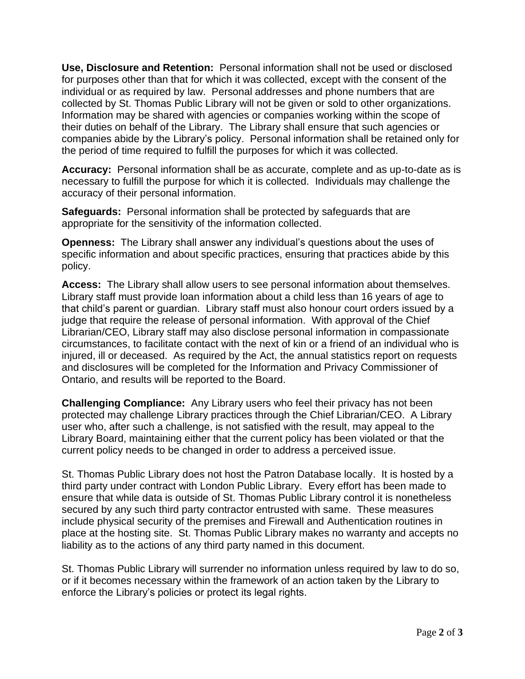**Use, Disclosure and Retention:** Personal information shall not be used or disclosed for purposes other than that for which it was collected, except with the consent of the individual or as required by law. Personal addresses and phone numbers that are collected by St. Thomas Public Library will not be given or sold to other organizations. Information may be shared with agencies or companies working within the scope of their duties on behalf of the Library. The Library shall ensure that such agencies or companies abide by the Library's policy. Personal information shall be retained only for the period of time required to fulfill the purposes for which it was collected.

**Accuracy:** Personal information shall be as accurate, complete and as up-to-date as is necessary to fulfill the purpose for which it is collected. Individuals may challenge the accuracy of their personal information.

**Safeguards:** Personal information shall be protected by safeguards that are appropriate for the sensitivity of the information collected.

**Openness:** The Library shall answer any individual's questions about the uses of specific information and about specific practices, ensuring that practices abide by this policy.

**Access:** The Library shall allow users to see personal information about themselves. Library staff must provide loan information about a child less than 16 years of age to that child's parent or guardian. Library staff must also honour court orders issued by a judge that require the release of personal information. With approval of the Chief Librarian/CEO, Library staff may also disclose personal information in compassionate circumstances, to facilitate contact with the next of kin or a friend of an individual who is injured, ill or deceased. As required by the Act, the annual statistics report on requests and disclosures will be completed for the Information and Privacy Commissioner of Ontario, and results will be reported to the Board.

**Challenging Compliance:** Any Library users who feel their privacy has not been protected may challenge Library practices through the Chief Librarian/CEO. A Library user who, after such a challenge, is not satisfied with the result, may appeal to the Library Board, maintaining either that the current policy has been violated or that the current policy needs to be changed in order to address a perceived issue.

St. Thomas Public Library does not host the Patron Database locally. It is hosted by a third party under contract with London Public Library. Every effort has been made to ensure that while data is outside of St. Thomas Public Library control it is nonetheless secured by any such third party contractor entrusted with same. These measures include physical security of the premises and Firewall and Authentication routines in place at the hosting site. St. Thomas Public Library makes no warranty and accepts no liability as to the actions of any third party named in this document.

St. Thomas Public Library will surrender no information unless required by law to do so, or if it becomes necessary within the framework of an action taken by the Library to enforce the Library's policies or protect its legal rights.